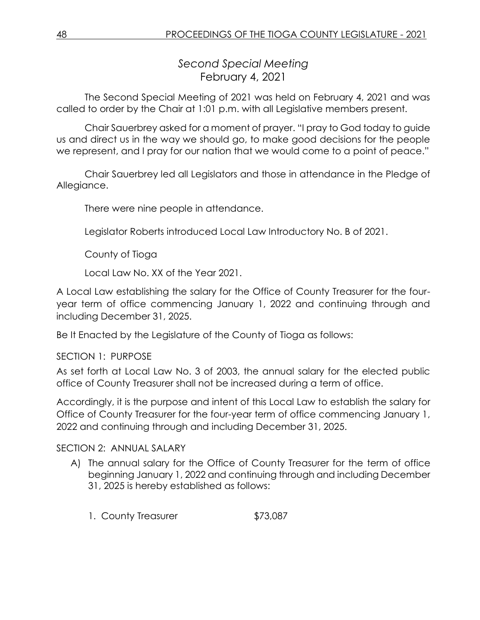*Second Special Meeting* February 4, 2021

The Second Special Meeting of 2021 was held on February 4, 2021 and was called to order by the Chair at 1:01 p.m. with all Legislative members present.

Chair Sauerbrey asked for a moment of prayer. "I pray to God today to guide us and direct us in the way we should go, to make good decisions for the people we represent, and I pray for our nation that we would come to a point of peace."

Chair Sauerbrey led all Legislators and those in attendance in the Pledge of Allegiance.

There were nine people in attendance.

Legislator Roberts introduced Local Law Introductory No. B of 2021.

County of Tioga

Local Law No. XX of the Year 2021.

A Local Law establishing the salary for the Office of County Treasurer for the fouryear term of office commencing January 1, 2022 and continuing through and including December 31, 2025.

Be It Enacted by the Legislature of the County of Tioga as follows:

# SECTION 1: PURPOSE

As set forth at Local Law No. 3 of 2003, the annual salary for the elected public office of County Treasurer shall not be increased during a term of office.

Accordingly, it is the purpose and intent of this Local Law to establish the salary for Office of County Treasurer for the four-year term of office commencing January 1, 2022 and continuing through and including December 31, 2025.

# SECTION 2: ANNUAL SALARY

- A) The annual salary for the Office of County Treasurer for the term of office beginning January 1, 2022 and continuing through and including December 31, 2025 is hereby established as follows:
	- 1. County Treasurer \$73,087